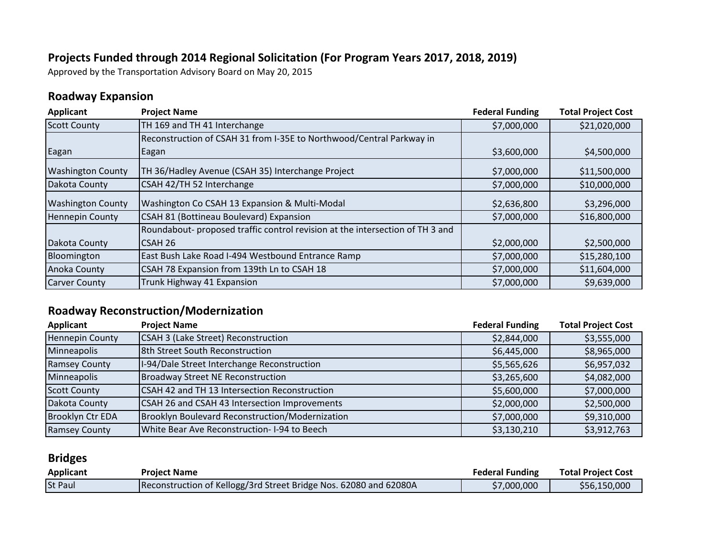#### **Projects Funded through 2014 Regional Solicitation (For Program Years 2017, 2018, 2019)**

Approved by the Transportation Advisory Board on May 20, 2015

### **Roadway Expansion**

| <b>Applicant</b>         | <b>Project Name</b>                                                           | <b>Federal Funding</b> | <b>Total Project Cost</b> |
|--------------------------|-------------------------------------------------------------------------------|------------------------|---------------------------|
| <b>Scott County</b>      | TH 169 and TH 41 Interchange                                                  | \$7,000,000            | \$21,020,000              |
|                          | Reconstruction of CSAH 31 from I-35E to Northwood/Central Parkway in          |                        |                           |
| Eagan                    | Eagan                                                                         | \$3,600,000            | \$4,500,000               |
| <b>Washington County</b> | TH 36/Hadley Avenue (CSAH 35) Interchange Project                             | \$7,000,000            | \$11,500,000              |
| Dakota County            | CSAH 42/TH 52 Interchange                                                     | \$7,000,000            | \$10,000,000              |
| <b>Washington County</b> | Washington Co CSAH 13 Expansion & Multi-Modal                                 | \$2,636,800            | \$3,296,000               |
| <b>Hennepin County</b>   | CSAH 81 (Bottineau Boulevard) Expansion                                       | \$7,000,000            | \$16,800,000              |
|                          | Roundabout- proposed traffic control revision at the intersection of TH 3 and |                        |                           |
| Dakota County            | CSAH 26                                                                       | \$2,000,000            | \$2,500,000               |
| Bloomington              | East Bush Lake Road I-494 Westbound Entrance Ramp                             | \$7,000,000            | \$15,280,100              |
| Anoka County             | CSAH 78 Expansion from 139th Ln to CSAH 18                                    | \$7,000,000            | \$11,604,000              |
| <b>Carver County</b>     | Trunk Highway 41 Expansion                                                    | \$7,000,000            | \$9,639,000               |

### **Roadway Reconstruction/Modernization**

| Applicant               | <b>Project Name</b>                             | <b>Federal Funding</b> | <b>Total Project Cost</b> |
|-------------------------|-------------------------------------------------|------------------------|---------------------------|
| <b>Hennepin County</b>  | <b>CSAH 3 (Lake Street) Reconstruction</b>      | \$2,844,000            | \$3,555,000               |
| Minneapolis             | 8th Street South Reconstruction                 | \$6,445,000            | \$8,965,000               |
| Ramsey County           | I-94/Dale Street Interchange Reconstruction     | \$5,565,626            | \$6,957,032               |
| Minneapolis             | <b>Broadway Street NE Reconstruction</b>        | \$3,265,600            | \$4,082,000               |
| <b>Scott County</b>     | CSAH 42 and TH 13 Intersection Reconstruction   | \$5,600,000            | \$7,000,000               |
| Dakota County           | CSAH 26 and CSAH 43 Intersection Improvements   | \$2,000,000            | \$2,500,000               |
| <b>Brooklyn Ctr EDA</b> | Brooklyn Boulevard Reconstruction/Modernization | \$7,000,000            | \$9,310,000               |
| <b>Ramsey County</b>    | White Bear Ave Reconstruction-I-94 to Beech     | \$3,130,210            | \$3,912,763               |

### **Bridges**

| <b>Applicant</b> | <b>Project Name</b>                                               | <b>Federal Funding</b> | <b>Total Project Cost</b> |
|------------------|-------------------------------------------------------------------|------------------------|---------------------------|
| <b>St Paul</b>   | Reconstruction of Kellogg/3rd Street Bridge Nos. 62080 and 62080A | \$7,000,000            | \$56,150,000              |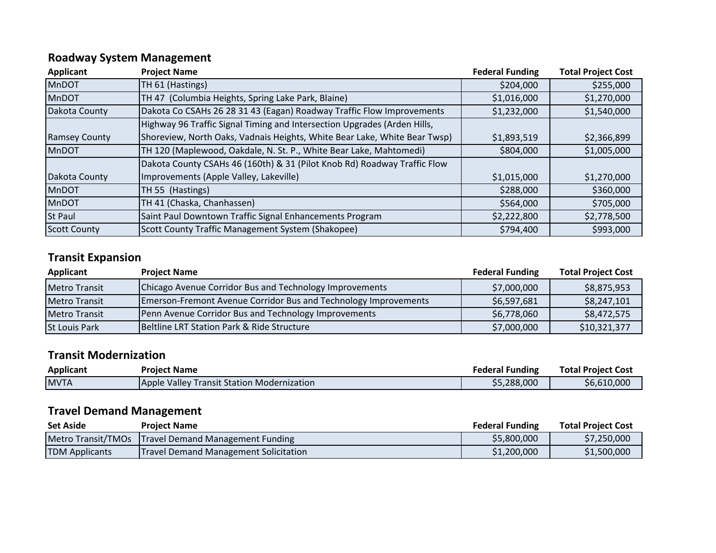# **Roadway System Management**

| <b>Applicant</b>     | <b>Project Name</b>                                                       | <b>Federal Funding</b> | <b>Total Project Cost</b> |
|----------------------|---------------------------------------------------------------------------|------------------------|---------------------------|
| <b>MnDOT</b>         | TH 61 (Hastings)                                                          | \$204,000              | \$255,000                 |
| <b>MnDOT</b>         | TH 47 (Columbia Heights, Spring Lake Park, Blaine)                        | \$1,016,000            | \$1,270,000               |
| Dakota County        | Dakota Co CSAHs 26 28 31 43 (Eagan) Roadway Traffic Flow Improvements     | \$1,232,000            | \$1,540,000               |
|                      | Highway 96 Traffic Signal Timing and Intersection Upgrades (Arden Hills,  |                        |                           |
| <b>Ramsey County</b> | Shoreview, North Oaks, Vadnais Heights, White Bear Lake, White Bear Twsp) | \$1,893,519            | \$2,366,899               |
| <b>MnDOT</b>         | TH 120 (Maplewood, Oakdale, N. St. P., White Bear Lake, Mahtomedi)        | \$804,000              | \$1,005,000               |
|                      | Dakota County CSAHs 46 (160th) & 31 (Pilot Knob Rd) Roadway Traffic Flow  |                        |                           |
| Dakota County        | Improvements (Apple Valley, Lakeville)                                    | \$1,015,000            | \$1,270,000               |
| <b>MnDOT</b>         | TH 55 (Hastings)                                                          | \$288,000              | \$360,000                 |
| <b>MnDOT</b>         | TH 41 (Chaska, Chanhassen)                                                | \$564,000              | \$705,000                 |
| <b>St Paul</b>       | Saint Paul Downtown Traffic Signal Enhancements Program                   | \$2,222,800            | \$2,778,500               |
| <b>Scott County</b>  | Scott County Traffic Management System (Shakopee)                         | \$794,400              | \$993,000                 |

# **Transit Expansion**

| Applicant            | <b>Project Name</b>                                                    | <b>Federal Funding</b> | <b>Total Project Cost</b> |
|----------------------|------------------------------------------------------------------------|------------------------|---------------------------|
| <b>Metro Transit</b> | Chicago Avenue Corridor Bus and Technology Improvements                | \$7,000,000            | \$8,875,953               |
| <b>Metro Transit</b> | <b>Emerson-Fremont Avenue Corridor Bus and Technology Improvements</b> | \$6,597,681            | \$8,247,101               |
| <b>Metro Transit</b> | Penn Avenue Corridor Bus and Technology Improvements                   | \$6,778,060            | \$8,472,575               |
| <b>St Louis Park</b> | Beltline LRT Station Park & Ride Structure                             | \$7,000,000            | \$10,321,377              |

### **Transit Modernization**

| Applicant    | <b>Project Name</b>                               | <b>Federal Funding</b> | <b>Total Project Cost</b> |
|--------------|---------------------------------------------------|------------------------|---------------------------|
| <b>IMVTA</b> | <b>Apple Valley Transit Station Modernization</b> | \$5,288,000            | \$6,610,000               |

# **Travel Demand Management**

| <b>Set Aside</b>      | <b>Project Name</b>                                   | <b>Federal Funding</b> | <b>Total Project Cost</b> |
|-----------------------|-------------------------------------------------------|------------------------|---------------------------|
|                       | Metro Transit/TMOs   Travel Demand Management Funding | \$5,800,000            | \$7,250,000               |
| <b>TDM Applicants</b> | <b>Travel Demand Management Solicitation</b>          | \$1,200,000            | \$1,500,000               |